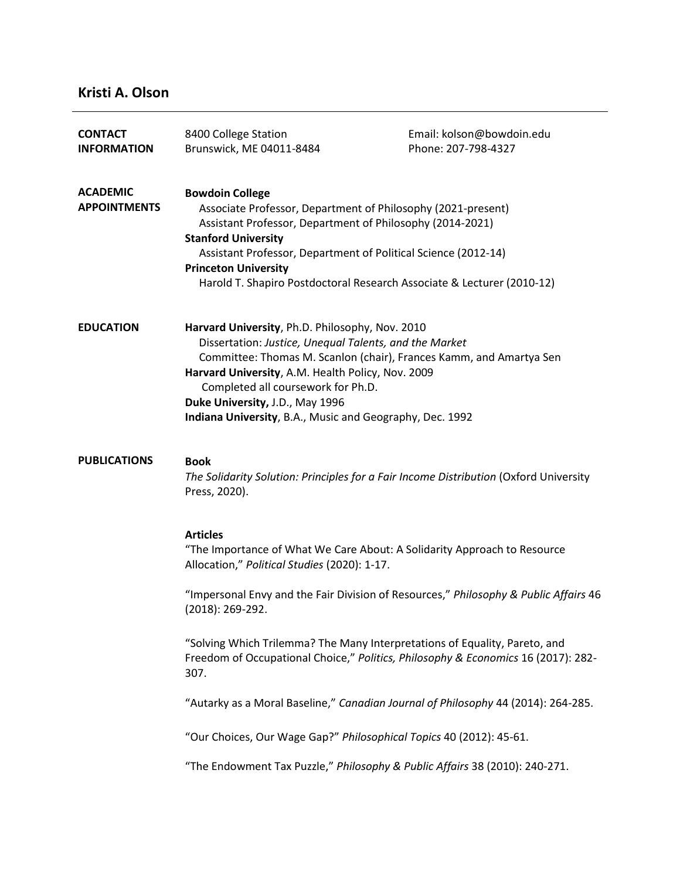# **Kristi A. Olson**

| <b>CONTACT</b><br><b>INFORMATION</b>   | 8400 College Station<br>Brunswick, ME 04011-8484                                                                                                                                                                                                                                                                                                             | Email: kolson@bowdoin.edu<br>Phone: 207-798-4327                                                                                                                |
|----------------------------------------|--------------------------------------------------------------------------------------------------------------------------------------------------------------------------------------------------------------------------------------------------------------------------------------------------------------------------------------------------------------|-----------------------------------------------------------------------------------------------------------------------------------------------------------------|
| <b>ACADEMIC</b><br><b>APPOINTMENTS</b> | <b>Bowdoin College</b><br>Associate Professor, Department of Philosophy (2021-present)<br>Assistant Professor, Department of Philosophy (2014-2021)<br><b>Stanford University</b><br>Assistant Professor, Department of Political Science (2012-14)<br><b>Princeton University</b><br>Harold T. Shapiro Postdoctoral Research Associate & Lecturer (2010-12) |                                                                                                                                                                 |
| <b>EDUCATION</b>                       | Harvard University, Ph.D. Philosophy, Nov. 2010<br>Dissertation: Justice, Unequal Talents, and the Market<br>Harvard University, A.M. Health Policy, Nov. 2009<br>Completed all coursework for Ph.D.<br>Duke University, J.D., May 1996<br>Indiana University, B.A., Music and Geography, Dec. 1992                                                          | Committee: Thomas M. Scanlon (chair), Frances Kamm, and Amartya Sen                                                                                             |
| <b>PUBLICATIONS</b>                    | <b>Book</b><br>Press, 2020).                                                                                                                                                                                                                                                                                                                                 | The Solidarity Solution: Principles for a Fair Income Distribution (Oxford University                                                                           |
|                                        | <b>Articles</b><br>Allocation," Political Studies (2020): 1-17.                                                                                                                                                                                                                                                                                              | "The Importance of What We Care About: A Solidarity Approach to Resource                                                                                        |
|                                        | $(2018): 269-292.$                                                                                                                                                                                                                                                                                                                                           | "Impersonal Envy and the Fair Division of Resources," Philosophy & Public Affairs 46                                                                            |
|                                        | 307.                                                                                                                                                                                                                                                                                                                                                         | "Solving Which Trilemma? The Many Interpretations of Equality, Pareto, and<br>Freedom of Occupational Choice," Politics, Philosophy & Economics 16 (2017): 282- |
|                                        |                                                                                                                                                                                                                                                                                                                                                              | "Autarky as a Moral Baseline," Canadian Journal of Philosophy 44 (2014): 264-285.                                                                               |
|                                        |                                                                                                                                                                                                                                                                                                                                                              | "Our Choices, Our Wage Gap?" Philosophical Topics 40 (2012): 45-61.                                                                                             |
|                                        |                                                                                                                                                                                                                                                                                                                                                              | "The Endowment Tax Puzzle," Philosophy & Public Affairs 38 (2010): 240-271.                                                                                     |
|                                        |                                                                                                                                                                                                                                                                                                                                                              |                                                                                                                                                                 |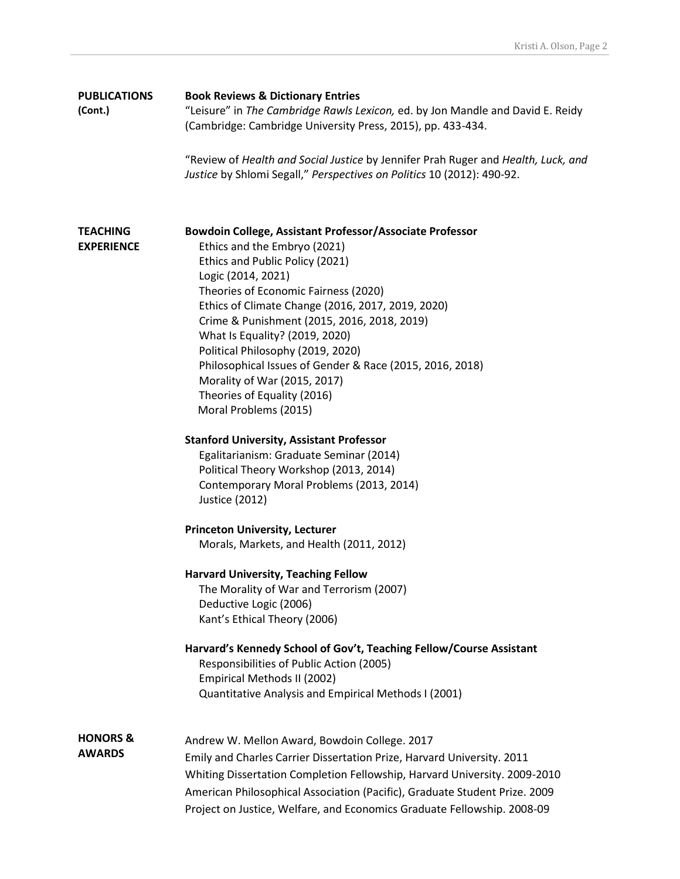| <b>PUBLICATIONS</b><br>(Cont.)       | <b>Book Reviews &amp; Dictionary Entries</b><br>"Leisure" in The Cambridge Rawls Lexicon, ed. by Jon Mandle and David E. Reidy<br>(Cambridge: Cambridge University Press, 2015), pp. 433-434.                                                                                                                                                                 |  |
|--------------------------------------|---------------------------------------------------------------------------------------------------------------------------------------------------------------------------------------------------------------------------------------------------------------------------------------------------------------------------------------------------------------|--|
|                                      | "Review of Health and Social Justice by Jennifer Prah Ruger and Health, Luck, and<br>Justice by Shlomi Segall," Perspectives on Politics 10 (2012): 490-92.                                                                                                                                                                                                   |  |
| <b>TEACHING</b><br><b>EXPERIENCE</b> | Bowdoin College, Assistant Professor/Associate Professor<br>Ethics and the Embryo (2021)                                                                                                                                                                                                                                                                      |  |
|                                      | Ethics and Public Policy (2021)<br>Logic (2014, 2021)<br>Theories of Economic Fairness (2020)                                                                                                                                                                                                                                                                 |  |
|                                      | Ethics of Climate Change (2016, 2017, 2019, 2020)<br>Crime & Punishment (2015, 2016, 2018, 2019)                                                                                                                                                                                                                                                              |  |
|                                      | What Is Equality? (2019, 2020)<br>Political Philosophy (2019, 2020)<br>Philosophical Issues of Gender & Race (2015, 2016, 2018)                                                                                                                                                                                                                               |  |
|                                      | Morality of War (2015, 2017)<br>Theories of Equality (2016)<br>Moral Problems (2015)                                                                                                                                                                                                                                                                          |  |
|                                      | <b>Stanford University, Assistant Professor</b><br>Egalitarianism: Graduate Seminar (2014)<br>Political Theory Workshop (2013, 2014)<br>Contemporary Moral Problems (2013, 2014)<br>Justice (2012)                                                                                                                                                            |  |
|                                      | <b>Princeton University, Lecturer</b><br>Morals, Markets, and Health (2011, 2012)                                                                                                                                                                                                                                                                             |  |
|                                      | <b>Harvard University, Teaching Fellow</b><br>The Morality of War and Terrorism (2007)<br>Deductive Logic (2006)<br>Kant's Ethical Theory (2006)                                                                                                                                                                                                              |  |
|                                      | Harvard's Kennedy School of Gov't, Teaching Fellow/Course Assistant<br>Responsibilities of Public Action (2005)<br>Empirical Methods II (2002)<br>Quantitative Analysis and Empirical Methods I (2001)                                                                                                                                                        |  |
| <b>HONORS &amp;</b>                  |                                                                                                                                                                                                                                                                                                                                                               |  |
| <b>AWARDS</b>                        | Andrew W. Mellon Award, Bowdoin College. 2017<br>Emily and Charles Carrier Dissertation Prize, Harvard University. 2011<br>Whiting Dissertation Completion Fellowship, Harvard University. 2009-2010<br>American Philosophical Association (Pacific), Graduate Student Prize. 2009<br>Project on Justice, Welfare, and Economics Graduate Fellowship. 2008-09 |  |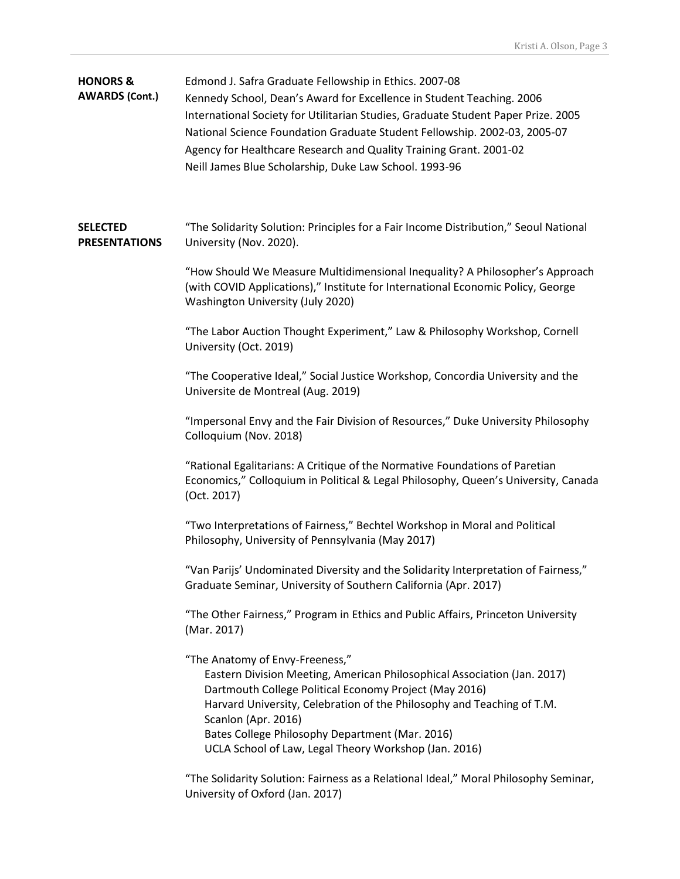| <b>HONORS &amp;</b><br><b>AWARDS (Cont.)</b> | Edmond J. Safra Graduate Fellowship in Ethics. 2007-08<br>Kennedy School, Dean's Award for Excellence in Student Teaching. 2006<br>International Society for Utilitarian Studies, Graduate Student Paper Prize. 2005<br>National Science Foundation Graduate Student Fellowship. 2002-03, 2005-07<br>Agency for Healthcare Research and Quality Training Grant. 2001-02<br>Neill James Blue Scholarship, Duke Law School. 1993-96 |
|----------------------------------------------|-----------------------------------------------------------------------------------------------------------------------------------------------------------------------------------------------------------------------------------------------------------------------------------------------------------------------------------------------------------------------------------------------------------------------------------|
| <b>SELECTED</b><br><b>PRESENTATIONS</b>      | "The Solidarity Solution: Principles for a Fair Income Distribution," Seoul National<br>University (Nov. 2020).                                                                                                                                                                                                                                                                                                                   |
|                                              | "How Should We Measure Multidimensional Inequality? A Philosopher's Approach<br>(with COVID Applications)," Institute for International Economic Policy, George<br>Washington University (July 2020)                                                                                                                                                                                                                              |
|                                              | "The Labor Auction Thought Experiment," Law & Philosophy Workshop, Cornell<br>University (Oct. 2019)                                                                                                                                                                                                                                                                                                                              |
|                                              | "The Cooperative Ideal," Social Justice Workshop, Concordia University and the<br>Universite de Montreal (Aug. 2019)                                                                                                                                                                                                                                                                                                              |
|                                              | "Impersonal Envy and the Fair Division of Resources," Duke University Philosophy<br>Colloquium (Nov. 2018)                                                                                                                                                                                                                                                                                                                        |
|                                              | "Rational Egalitarians: A Critique of the Normative Foundations of Paretian<br>Economics," Colloquium in Political & Legal Philosophy, Queen's University, Canada<br>(Oct. 2017)                                                                                                                                                                                                                                                  |
|                                              | "Two Interpretations of Fairness," Bechtel Workshop in Moral and Political<br>Philosophy, University of Pennsylvania (May 2017)                                                                                                                                                                                                                                                                                                   |
|                                              | "Van Parijs' Undominated Diversity and the Solidarity Interpretation of Fairness,"<br>Graduate Seminar, University of Southern California (Apr. 2017)                                                                                                                                                                                                                                                                             |
|                                              | "The Other Fairness," Program in Ethics and Public Affairs, Princeton University<br>(Mar. 2017)                                                                                                                                                                                                                                                                                                                                   |
|                                              | "The Anatomy of Envy-Freeness,"<br>Eastern Division Meeting, American Philosophical Association (Jan. 2017)<br>Dartmouth College Political Economy Project (May 2016)<br>Harvard University, Celebration of the Philosophy and Teaching of T.M.<br>Scanlon (Apr. 2016)<br>Bates College Philosophy Department (Mar. 2016)<br>UCLA School of Law, Legal Theory Workshop (Jan. 2016)                                                |
|                                              | "The Solidarity Solution: Fairness as a Relational Ideal," Moral Philosophy Seminar,<br>University of Oxford (Jan. 2017)                                                                                                                                                                                                                                                                                                          |
|                                              |                                                                                                                                                                                                                                                                                                                                                                                                                                   |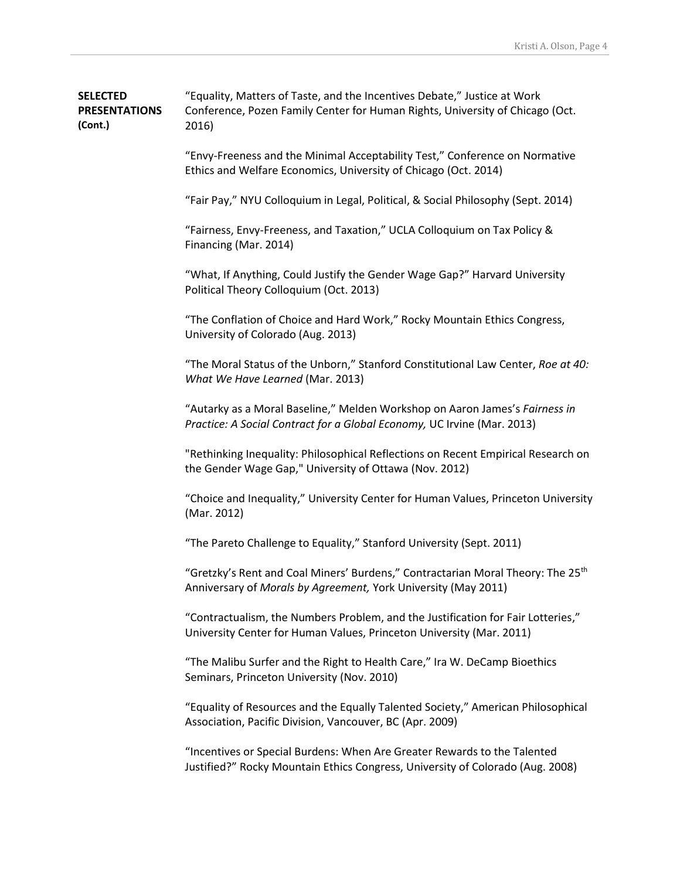| <b>SELECTED</b>      | "Equality, Matters of Taste, and the Incentives Debate," Justice at Work      |
|----------------------|-------------------------------------------------------------------------------|
| <b>PRESENTATIONS</b> | Conference, Pozen Family Center for Human Rights, University of Chicago (Oct. |
| (Cont.)              | 2016)                                                                         |

"Envy-Freeness and the Minimal Acceptability Test," Conference on Normative Ethics and Welfare Economics, University of Chicago (Oct. 2014)

"Fair Pay," NYU Colloquium in Legal, Political, & Social Philosophy (Sept. 2014)

"Fairness, Envy-Freeness, and Taxation," UCLA Colloquium on Tax Policy & Financing (Mar. 2014)

"What, If Anything, Could Justify the Gender Wage Gap?" Harvard University Political Theory Colloquium (Oct. 2013)

"The Conflation of Choice and Hard Work," Rocky Mountain Ethics Congress, University of Colorado (Aug. 2013)

"The Moral Status of the Unborn," Stanford Constitutional Law Center, *Roe at 40: What We Have Learned* (Mar. 2013)

"Autarky as a Moral Baseline," Melden Workshop on Aaron James's *Fairness in Practice: A Social Contract for a Global Economy,* UC Irvine (Mar. 2013)

"Rethinking Inequality: Philosophical Reflections on Recent Empirical Research on the Gender Wage Gap," University of Ottawa (Nov. 2012)

"Choice and Inequality," University Center for Human Values, Princeton University (Mar. 2012)

"The Pareto Challenge to Equality," Stanford University (Sept. 2011)

"Gretzky's Rent and Coal Miners' Burdens," Contractarian Moral Theory: The 25<sup>th</sup> Anniversary of *Morals by Agreement,* York University (May 2011)

"Contractualism, the Numbers Problem, and the Justification for Fair Lotteries," University Center for Human Values, Princeton University (Mar. 2011)

"The Malibu Surfer and the Right to Health Care," Ira W. DeCamp Bioethics Seminars, Princeton University (Nov. 2010)

"Equality of Resources and the Equally Talented Society," American Philosophical Association, Pacific Division, Vancouver, BC (Apr. 2009)

"Incentives or Special Burdens: When Are Greater Rewards to the Talented Justified?" Rocky Mountain Ethics Congress, University of Colorado (Aug. 2008)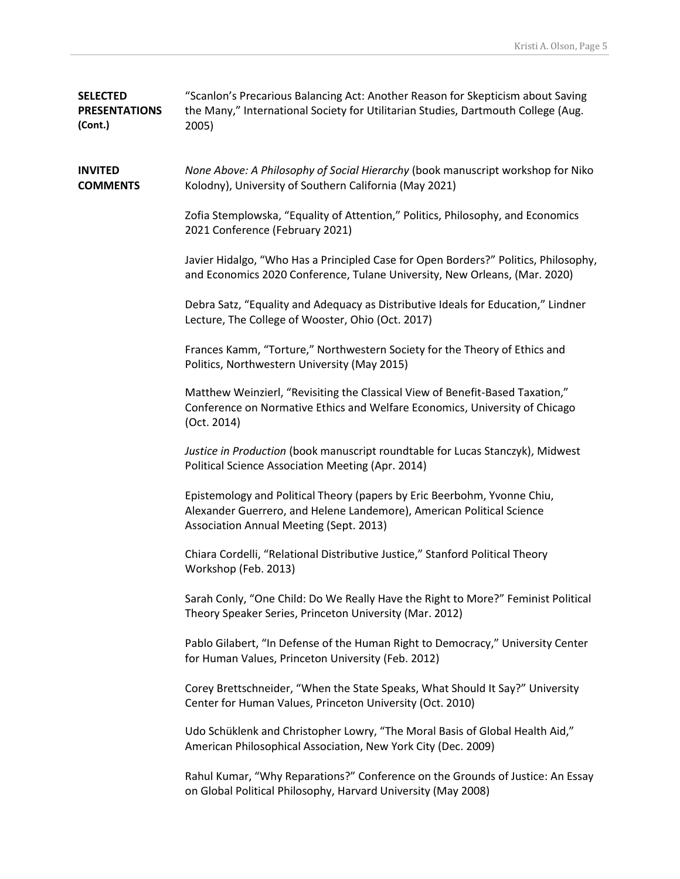| <b>SELECTED</b><br><b>PRESENTATIONS</b><br>(Cont.) | "Scanlon's Precarious Balancing Act: Another Reason for Skepticism about Saving<br>the Many," International Society for Utilitarian Studies, Dartmouth College (Aug.<br>2005)                |
|----------------------------------------------------|----------------------------------------------------------------------------------------------------------------------------------------------------------------------------------------------|
| <b>INVITED</b><br><b>COMMENTS</b>                  | None Above: A Philosophy of Social Hierarchy (book manuscript workshop for Niko<br>Kolodny), University of Southern California (May 2021)                                                    |
|                                                    | Zofia Stemplowska, "Equality of Attention," Politics, Philosophy, and Economics<br>2021 Conference (February 2021)                                                                           |
|                                                    | Javier Hidalgo, "Who Has a Principled Case for Open Borders?" Politics, Philosophy,<br>and Economics 2020 Conference, Tulane University, New Orleans, (Mar. 2020)                            |
|                                                    | Debra Satz, "Equality and Adequacy as Distributive Ideals for Education," Lindner<br>Lecture, The College of Wooster, Ohio (Oct. 2017)                                                       |
|                                                    | Frances Kamm, "Torture," Northwestern Society for the Theory of Ethics and<br>Politics, Northwestern University (May 2015)                                                                   |
|                                                    | Matthew Weinzierl, "Revisiting the Classical View of Benefit-Based Taxation,"<br>Conference on Normative Ethics and Welfare Economics, University of Chicago<br>(Oct. 2014)                  |
|                                                    | Justice in Production (book manuscript roundtable for Lucas Stanczyk), Midwest<br>Political Science Association Meeting (Apr. 2014)                                                          |
|                                                    | Epistemology and Political Theory (papers by Eric Beerbohm, Yvonne Chiu,<br>Alexander Guerrero, and Helene Landemore), American Political Science<br>Association Annual Meeting (Sept. 2013) |
|                                                    | Chiara Cordelli, "Relational Distributive Justice," Stanford Political Theory<br>Workshop (Feb. 2013)                                                                                        |
|                                                    | Sarah Conly, "One Child: Do We Really Have the Right to More?" Feminist Political<br>Theory Speaker Series, Princeton University (Mar. 2012)                                                 |
|                                                    | Pablo Gilabert, "In Defense of the Human Right to Democracy," University Center<br>for Human Values, Princeton University (Feb. 2012)                                                        |
|                                                    | Corey Brettschneider, "When the State Speaks, What Should It Say?" University<br>Center for Human Values, Princeton University (Oct. 2010)                                                   |
|                                                    | Udo Schüklenk and Christopher Lowry, "The Moral Basis of Global Health Aid,"<br>American Philosophical Association, New York City (Dec. 2009)                                                |
|                                                    | Rahul Kumar, "Why Reparations?" Conference on the Grounds of Justice: An Essay                                                                                                               |

on Global Political Philosophy, Harvard University (May 2008)